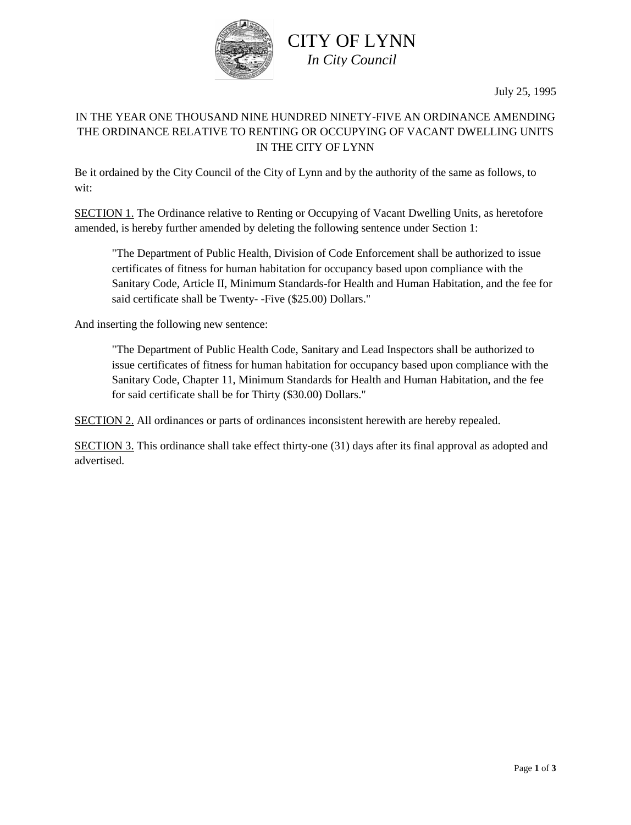

# CITY OF LYNN *In City Council*

July 25, 1995

### IN THE YEAR ONE THOUSAND NINE HUNDRED NINETY-FIVE AN ORDINANCE AMENDING THE ORDINANCE RELATIVE TO RENTING OR OCCUPYING OF VACANT DWELLING UNITS IN THE CITY OF LYNN

Be it ordained by the City Council of the City of Lynn and by the authority of the same as follows, to wit:

SECTION 1. The Ordinance relative to Renting or Occupying of Vacant Dwelling Units, as heretofore amended, is hereby further amended by deleting the following sentence under Section 1:

"The Department of Public Health, Division of Code Enforcement shall be authorized to issue certificates of fitness for human habitation for occupancy based upon compliance with the Sanitary Code, Article II, Minimum Standards-for Health and Human Habitation, and the fee for said certificate shall be Twenty- -Five (\$25.00) Dollars."

And inserting the following new sentence:

"The Department of Public Health Code, Sanitary and Lead Inspectors shall be authorized to issue certificates of fitness for human habitation for occupancy based upon compliance with the Sanitary Code, Chapter 11, Minimum Standards for Health and Human Habitation, and the fee for said certificate shall be for Thirty (\$30.00) Dollars."

SECTION 2. All ordinances or parts of ordinances inconsistent herewith are hereby repealed.

SECTION 3. This ordinance shall take effect thirty-one (31) days after its final approval as adopted and advertised.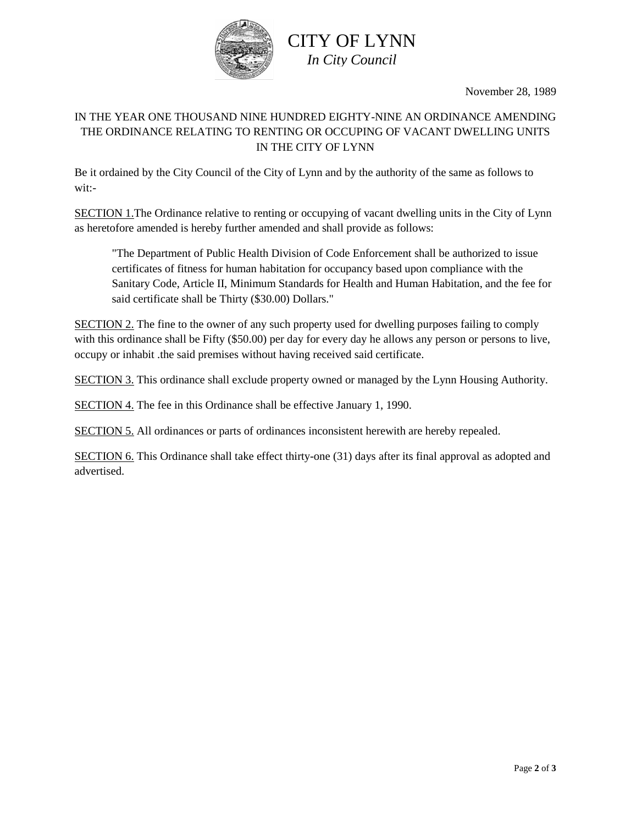

## CITY OF LYNN *In City Council*

November 28, 1989

#### IN THE YEAR ONE THOUSAND NINE HUNDRED EIGHTY-NINE AN ORDINANCE AMENDING THE ORDINANCE RELATING TO RENTING OR OCCUPING OF VACANT DWELLING UNITS IN THE CITY OF LYNN

Be it ordained by the City Council of the City of Lynn and by the authority of the same as follows to wit:-

SECTION 1.The Ordinance relative to renting or occupying of vacant dwelling units in the City of Lynn as heretofore amended is hereby further amended and shall provide as follows:

"The Department of Public Health Division of Code Enforcement shall be authorized to issue certificates of fitness for human habitation for occupancy based upon compliance with the Sanitary Code, Article II, Minimum Standards for Health and Human Habitation, and the fee for said certificate shall be Thirty (\$30.00) Dollars."

SECTION 2. The fine to the owner of any such property used for dwelling purposes failing to comply with this ordinance shall be Fifty (\$50.00) per day for every day he allows any person or persons to live, occupy or inhabit .the said premises without having received said certificate.

SECTION 3. This ordinance shall exclude property owned or managed by the Lynn Housing Authority.

SECTION 4. The fee in this Ordinance shall be effective January 1, 1990.

SECTION 5. All ordinances or parts of ordinances inconsistent herewith are hereby repealed.

SECTION 6. This Ordinance shall take effect thirty-one (31) days after its final approval as adopted and advertised.